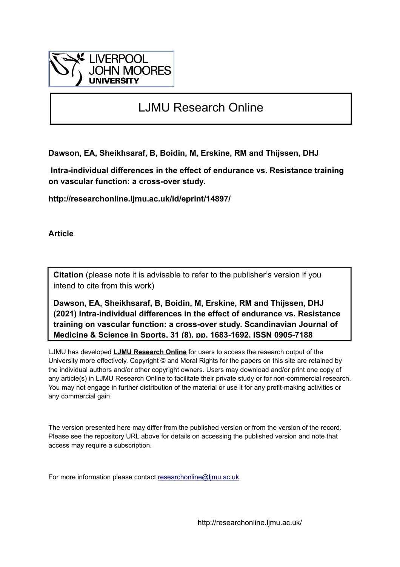

# LJMU Research Online

**Dawson, EA, Sheikhsaraf, B, Boidin, M, Erskine, RM and Thijssen, DHJ**

 **Intra-individual differences in the effect of endurance vs. Resistance training on vascular function: a cross-over study.**

**http://researchonline.ljmu.ac.uk/id/eprint/14897/**

**Article**

**Citation** (please note it is advisable to refer to the publisher's version if you intend to cite from this work)

**Dawson, EA, Sheikhsaraf, B, Boidin, M, Erskine, RM and Thijssen, DHJ (2021) Intra-individual differences in the effect of endurance vs. Resistance training on vascular function: a cross-over study. Scandinavian Journal of Medicine & Science in Sports, 31 (8). pp. 1683-1692. ISSN 0905-7188** 

LJMU has developed **[LJMU Research Online](http://researchonline.ljmu.ac.uk/)** for users to access the research output of the University more effectively. Copyright © and Moral Rights for the papers on this site are retained by the individual authors and/or other copyright owners. Users may download and/or print one copy of any article(s) in LJMU Research Online to facilitate their private study or for non-commercial research. You may not engage in further distribution of the material or use it for any profit-making activities or any commercial gain.

The version presented here may differ from the published version or from the version of the record. Please see the repository URL above for details on accessing the published version and note that access may require a subscription.

For more information please contact [researchonline@ljmu.ac.uk](mailto:researchonline@ljmu.ac.uk)

http://researchonline.ljmu.ac.uk/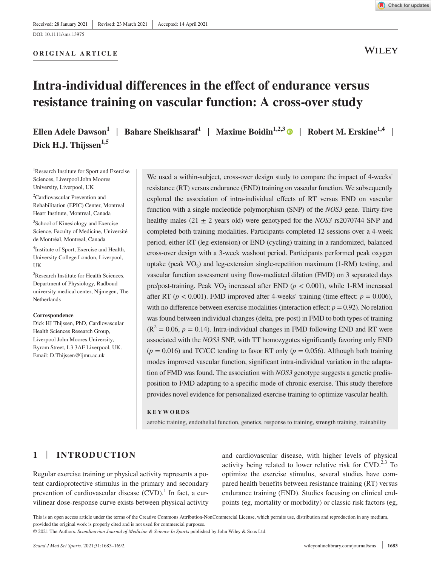#### **ORIGINAL ARTICLE**



**WILEY** 

# **Intra-individual differences in the effect of endurance versus resistance training on vascular function: A cross-over study**

**Ellen Adele Dawson<sup>1</sup>** | **Bahare Sheikhsaraf<sup>1</sup>** | **Maxime Boidin1,2,[3](https://orcid.org/0000-0002-1522-1223)** | **Robert M. Erskine1,4** | **Dick H.J. Thijssen1,5**

<sup>1</sup>Research Institute for Sport and Exercise Sciences, Liverpool John Moores University, Liverpool, UK

2 Cardiovascular Prevention and Rehabilitation (EPIC) Center, Montreal Heart Institute, Montreal, Canada

<sup>3</sup>School of Kinesiology and Exercise Science, Faculty of Medicine, Université de Montréal, Montreal, Canada

4 Institute of Sport, Exercise and Health, University College London, Liverpool, UK

5 Research Institute for Health Sciences, Department of Physiology, Radboud university medical center, Nijmegen, The Netherlands

#### **Correspondence**

Dick HJ Thijssen, PhD, Cardiovascular Health Sciences Research Group, Liverpool John Moores University, Byrom Street, L3 3AF Liverpool, UK. Email: [D.Thijssen@ljmu.ac.uk](mailto:D.Thijssen@ljmu.ac.uk)

We used a within-subject, cross-over design study to compare the impact of 4-weeks' resistance (RT) versus endurance (END) training on vascular function. We subsequently explored the association of intra-individual effects of RT versus END on vascular function with a single nucleotide polymorphism (SNP) of the *NOS3* gene. Thirty-five healthy males (21  $\pm$  2 years old) were genotyped for the *NOS3* rs2070744 SNP and completed both training modalities. Participants completed 12 sessions over a 4-week period, either RT (leg-extension) or END (cycling) training in a randomized, balanced cross-over design with a 3-week washout period. Participants performed peak oxygen uptake (peak  $VO_2$ ) and leg-extension single-repetition maximum (1-RM) testing, and vascular function assessment using flow-mediated dilation (FMD) on 3 separated days pre/post-training. Peak  $VO<sub>2</sub>$  increased after END ( $p < 0.001$ ), while 1-RM increased after RT ( $p < 0.001$ ). FMD improved after 4-weeks' training (time effect:  $p = 0.006$ ), with no difference between exercise modalities (interaction effect:  $p = 0.92$ ). No relation was found between individual changes (delta, pre-post) in FMD to both types of training  $(R<sup>2</sup> = 0.06, p = 0.14)$ . Intra-individual changes in FMD following END and RT were associated with the *NOS3* SNP, with TT homozygotes significantly favoring only END  $(p = 0.016)$  and TC/CC tending to favor RT only  $(p = 0.056)$ . Although both training modes improved vascular function, significant intra-individual variation in the adaptation of FMD was found. The association with *NOS3* genotype suggests a genetic predisposition to FMD adapting to a specific mode of chronic exercise. This study therefore provides novel evidence for personalized exercise training to optimize vascular health.

#### **KEYWORDS**

aerobic training, endothelial function, genetics, response to training, strength training, trainability

# **1** | **INTRODUCTION**

Regular exercise training or physical activity represents a potent cardioprotective stimulus in the primary and secondary prevention of cardiovascular disease  $(CVD)$ .<sup>1</sup> In fact, a curvilinear dose-response curve exists between physical activity and cardiovascular disease, with higher levels of physical activity being related to lower relative risk for  $CVD$ .<sup>2,3</sup> To optimize the exercise stimulus, several studies have compared health benefits between resistance training (RT) versus endurance training (END). Studies focusing on clinical endpoints (eg, mortality or morbidity) or classic risk factors (eg,

This is an open access article under the terms of the [Creative Commons Attribution-NonCommercial](http://creativecommons.org/licenses/by-nc/4.0/) License, which permits use, distribution and reproduction in any medium, provided the original work is properly cited and is not used for commercial purposes.

© 2021 The Authors. *Scandinavian Journal of Medicine & Science In Sports* published by John Wiley & Sons Ltd.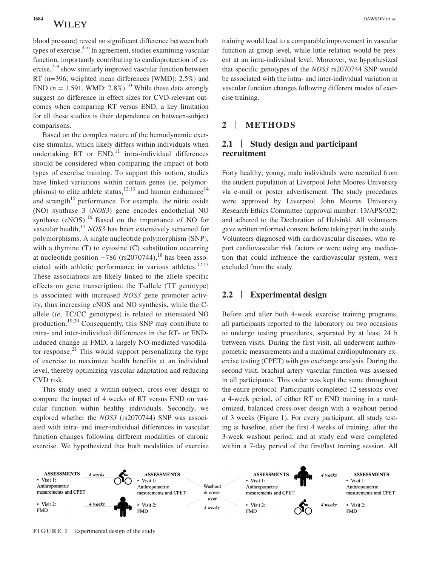blood pressure) reveal no significant difference between both types of exercise.<sup>4–6</sup> In agreement, studies examining vascular function, importantly contributing to cardioprotection of ex- $\text{ercise},^{7-9}$  show similarly improved vascular function between RT (n=396, weighted mean differences [WMD]: 2.5%) and END (n = 1.591, WMD: 2.8%).<sup>10</sup> While these data strongly suggest no difference in effect sizes for CVD-relevant outcomes when comparing RT versus END, a key limitation for all these studies is their dependence on between-subject comparisons.

Based on the complex nature of the hemodynamic exercise stimulus, which likely differs within individuals when undertaking RT or  $END<sub>11</sub><sup>11</sup>$  intra-individual differences should be considered when comparing the impact of both types of exercise training. To support this notion, studies have linked variations within certain genes (ie, polymorphisms) to elite athlete status,<sup>12,13</sup> and human endurance<sup>14</sup> and strength<sup>15</sup> performance. For example, the nitric oxide (NO) synthase 3 (*NOS3*) gene encodes endothelial NO synthase (eNOS).<sup>16</sup> Based on the importance of NO for vascular health,<sup>17</sup> *NOS3* has been extensively screened for polymorphisms. A single nucleotide polymorphism (SNP), with a thymine (T) to cytosine (C) substitution occurring at nucleotide position  $-786$  (rs2070744),<sup>18</sup> has been associated with athletic performance in various athletes.<sup>12,13</sup> These associations are likely linked to the allele-specific effects on gene transcription: the T-allele (TT genotype) is associated with increased *NOS3* gene promoter activity, thus increasing eNOS and NO synthesis, while the Callele (*ie*, TC/CC genotypes) is related to attenuated NO production.19,20 Consequently, this SNP may contribute to intra- and inter-individual differences in the RT- or ENDinduced change in FMD, a largely NO-mediated vasodilator response.<sup>21</sup> This would support personalizing the type of exercise to maximize health benefits at an individual level, thereby optimizing vascular adaptation and reducing CVD risk.

This study used a within-subject, cross-over design to compare the impact of 4 weeks of RT versus END on vascular function within healthy individuals. Secondly, we explored whether the *NOS3* (rs2070744) SNP was associated with intra- and inter-individual differences in vascular function changes following different modalities of chronic exercise. We hypothesized that both modalities of exercise training would lead to a comparable improvement in vascular function at group level, while little relation would be present at an intra-individual level. Moreover, we hypothesized that specific genotypes of the *NOS3* rs2070744 SNP would be associated with the intra- and inter-individual variation in vascular function changes following different modes of exercise training.

# **2** | **METHODS**

# **2.1** | **Study design and participant recruitment**

Forty healthy, young, male individuals were recruited from the student population at Liverpool John Moores University via e-mail or poster advertisement. The study procedures were approved by Liverpool John Moores University Research Ethics Committee (approval number: 13/APS/032) and adhered to the Declaration of Helsinki. All volunteers gave written informed consent before taking part in the study. Volunteers diagnosed with cardiovascular diseases, who report cardiovascular risk factors or were using any medication that could influence the cardiovascular system, were excluded from the study.

## **2.2** | **Experimental design**

Before and after both 4-week exercise training programs, all participants reported to the laboratory on two occasions to undergo testing procedures, separated by at least 24 h between visits. During the first visit, all underwent anthropometric measurements and a maximal cardiopulmonary exercise testing (CPET) with gas exchange analysis. During the second visit, brachial artery vascular function was assessed in all participants. This order was kept the same throughout the entire protocol. Participants completed 12 sessions over a 4-week period, of either RT or END training in a randomized, balanced cross-over design with a washout period of 3 weeks (Figure 1). For every participant, all study testing at baseline, after the first 4 weeks of training, after the 3-week washout period, and at study end were completed within a 7-day period of the first/last training session. All



**FIGURE 1** Experimental design of the study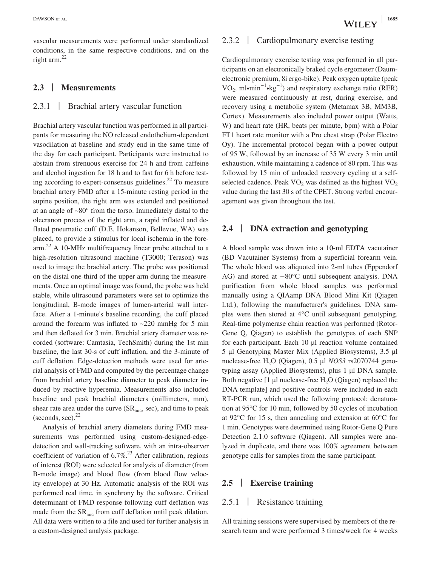vascular measurements were performed under standardized conditions, in the same respective conditions, and on the right arm.22

# **2.3** | **Measurements**

# 2.3.1 | Brachial artery vascular function

Brachial artery vascular function was performed in all participants for measuring the NO released endothelium-dependent vasodilation at baseline and study end in the same time of the day for each participant. Participants were instructed to abstain from strenuous exercise for 24 h and from caffeine and alcohol ingestion for 18 h and to fast for 6 h before testing according to expert-consensus guidelines.<sup>22</sup> To measure brachial artery FMD after a 15-minute resting period in the supine position, the right arm was extended and positioned at an angle of ~80° from the torso. Immediately distal to the olecranon process of the right arm, a rapid inflated and deflated pneumatic cuff (D.E. Hokanson, Bellevue, WA) was placed, to provide a stimulus for local ischemia in the forearm.22 A 10-MHz multifrequency linear probe attached to a high-resolution ultrasound machine (T3000; Terason) was used to image the brachial artery. The probe was positioned on the distal one-third of the upper arm during the measurements. Once an optimal image was found, the probe was held stable, while ultrasound parameters were set to optimize the longitudinal, B-mode images of lumen-arterial wall interface. After a 1-minute's baseline recording, the cuff placed around the forearm was inflated to  $\sim$ 220 mmHg for 5 min and then deflated for 3 min. Brachial artery diameter was recorded (software: Camtasia, TechSmith) during the 1st min baseline, the last 30-s of cuff inflation, and the 3-minute of cuff deflation. Edge-detection methods were used for arterial analysis of FMD and computed by the percentage change from brachial artery baseline diameter to peak diameter induced by reactive hyperemia. Measurements also included baseline and peak brachial diameters (millimeters, mm), shear rate area under the curve  $(SR_{\text{anc}}, \text{sec})$ , and time to peak (seconds, sec). $^{22}$ 

Analysis of brachial artery diameters during FMD measurements was performed using custom-designed-edgedetection and wall-tracking software, with an intra-observer coefficient of variation of  $6.7\%$ <sup>23</sup> After calibration, regions of interest (ROI) were selected for analysis of diameter (from B-mode image) and blood flow (from blood flow velocity envelope) at 30 Hz. Automatic analysis of the ROI was performed real time, in synchrony by the software. Critical determinant of FMD response following cuff deflation was made from the  $SR<sub>auc</sub>$  from cuff deflation until peak dilation. All data were written to a file and used for further analysis in a custom-designed analysis package.

# 2.3.2 | Cardiopulmonary exercise testing

Cardiopulmonary exercise testing was performed in all participants on an electronically braked cycle ergometer (Daumelectronic premium, 8i ergo-bike). Peak oxygen uptake (peak VO<sub>2</sub>, ml•min<sup>-1</sup>•kg<sup>-1</sup>) and respiratory exchange ratio (RER) were measured continuously at rest, during exercise, and recovery using a metabolic system (Metamax 3B, MM3B, Cortex). Measurements also included power output (Watts, W) and heart rate (HR, beats per minute, bpm) with a Polar FT1 heart rate monitor with a Pro chest strap (Polar Electro Oy). The incremental protocol began with a power output of 95 W, followed by an increase of 35 W every 3 min until exhaustion, while maintaining a cadence of 80 rpm. This was followed by 15 min of unloaded recovery cycling at a selfselected cadence. Peak  $VO<sub>2</sub>$  was defined as the highest  $VO<sub>2</sub>$ value during the last 30 s of the CPET. Strong verbal encouragement was given throughout the test.

#### **2.4** | **DNA extraction and genotyping**

A blood sample was drawn into a 10-ml EDTA vacutainer (BD Vacutainer Systems) from a superficial forearm vein. The whole blood was aliquoted into 2-ml tubes (Eppendorf AG) and stored at −80°C until subsequent analysis. DNA purification from whole blood samples was performed manually using a QIAamp DNA Blood Mini Kit (Qiagen Ltd.), following the manufacturer's guidelines. DNA samples were then stored at 4°C until subsequent genotyping. Real-time polymerase chain reaction was performed (Rotor-Gene Q, Qiagen) to establish the genotypes of each SNP for each participant. Each 10 μl reaction volume contained 5 μl Genotyping Master Mix (Applied Biosystems), 3.5 μl nuclease-free H<sub>2</sub>O (Qiagen), 0.5 μl *NOS3* rs2070744 genotyping assay (Applied Biosystems), plus 1 μl DNA sample. Both negative  $[1 \mu]$  nuclease-free H<sub>2</sub>O (Qiagen) replaced the DNA template] and positive controls were included in each RT-PCR run, which used the following protocol: denaturation at 95°C for 10 min, followed by 50 cycles of incubation at 92°C for 15 s, then annealing and extension at 60°C for 1 min. Genotypes were determined using Rotor-Gene Q Pure Detection 2.1.0 software (Qiagen). All samples were analyzed in duplicate, and there was 100% agreement between genotype calls for samples from the same participant.

## **2.5** | **Exercise training**

#### 2.5.1 | Resistance training

All training sessions were supervised by members of the research team and were performed 3 times/week for 4 weeks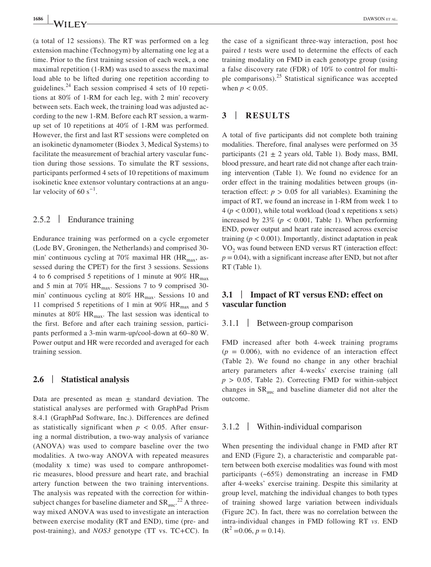(a total of 12 sessions). The RT was performed on a leg extension machine (Technogym) by alternating one leg at a time. Prior to the first training session of each week, a one maximal repetition (1-RM) was used to assess the maximal load able to be lifted during one repetition according to guidelines.<sup>24</sup> Each session comprised 4 sets of 10 repetitions at 80% of 1-RM for each leg, with 2 min' recovery between sets. Each week, the training load was adjusted according to the new 1-RM. Before each RT session, a warmup set of 10 repetitions at 40% of 1-RM was performed. However, the first and last RT sessions were completed on an isokinetic dynamometer (Biodex 3, Medical Systems) to facilitate the measurement of brachial artery vascular function during those sessions. To simulate the RT sessions, participants performed 4 sets of 10 repetitions of maximum isokinetic knee extensor voluntary contractions at an angular velocity of 60  $s^{-1}$ .

## 2.5.2 | Endurance training

Endurance training was performed on a cycle ergometer (Lode BV, Groningen, the Netherlands) and comprised 30 min' continuous cycling at 70% maximal HR ( $HR_{max}$ , assessed during the CPET) for the first 3 sessions. Sessions 4 to 6 comprised 5 repetitions of 1 minute at 90%  $HR_{max}$ and 5 min at 70%  $HR_{max}$ . Sessions 7 to 9 comprised 30min' continuous cycling at  $80\%$  HR<sub>max</sub>. Sessions 10 and 11 comprised 5 repetitions of 1 min at 90%  $HR_{max}$  and 5 minutes at  $80\%$  HR<sub>max</sub>. The last session was identical to the first. Before and after each training session, participants performed a 3-min warm-up/cool-down at 60–80 W. Power output and HR were recorded and averaged for each training session.

#### **2.6** | **Statistical analysis**

Data are presented as mean  $\pm$  standard deviation. The statistical analyses are performed with GraphPad Prism 8.4.1 (GraphPad Software, Inc.). Differences are defined as statistically significant when  $p < 0.05$ . After ensuring a normal distribution, a two-way analysis of variance (ANOVA) was used to compare baseline over the two modalities. A two-way ANOVA with repeated measures (modality x time) was used to compare anthropometric measures, blood pressure and heart rate, and brachial artery function between the two training interventions. The analysis was repeated with the correction for withinsubject changes for baseline diameter and  $SR<sub>auc</sub>$ <sup>22</sup> A threeway mixed ANOVA was used to investigate an interaction between exercise modality (RT and END), time (pre- and post-training), and *NOS3* genotype (TT vs. TC+CC). In the case of a significant three-way interaction, post hoc paired *t* tests were used to determine the effects of each training modality on FMD in each genotype group (using a false discovery rate (FDR) of 10% to control for multiple comparisons). $25$  Statistical significance was accepted when  $p < 0.05$ .

# **3** | **RESULTS**

A total of five participants did not complete both training modalities. Therefore, final analyses were performed on 35 participants (21  $\pm$  2 years old, Table 1). Body mass, BMI, blood pressure, and heart rate did not change after each training intervention (Table 1). We found no evidence for an order effect in the training modalities between groups (interaction effect:  $p > 0.05$  for all variables). Examining the impact of RT, we found an increase in 1-RM from week 1 to 4 (*p* < 0.001), while total workload (load x repetitions x sets) increased by  $23\%$  ( $p < 0.001$ , Table 1). When performing END, power output and heart rate increased across exercise training  $(p < 0.001)$ . Importantly, distinct adaptation in peak VO<sub>2</sub> was found between END versus RT (interaction effect:  $p = 0.04$ , with a significant increase after END, but not after RT (Table 1).

# **3.1** | **Impact of RT versus END: effect on vascular function**

# 3.1.1 | Between-group comparison

FMD increased after both 4-week training programs  $(p = 0.006)$ , with no evidence of an interaction effect (Table 2). We found no change in any other brachial artery parameters after 4-weeks' exercise training (all  $p > 0.05$ , Table 2). Correcting FMD for within-subject changes in  $SR<sub>auc</sub>$  and baseline diameter did not alter the outcome.

#### 3.1.2 | Within-individual comparison

When presenting the individual change in FMD after RT and END (Figure 2), a characteristic and comparable pattern between both exercise modalities was found with most participants (~65%) demonstrating an increase in FMD after 4-weeks' exercise training. Despite this similarity at group level, matching the individual changes to both types of training showed large variation between individuals (Figure 2C). In fact, there was no correlation between the intra-individual changes in FMD following RT *vs*. END  $(R<sup>2</sup>=0.06, p = 0.14).$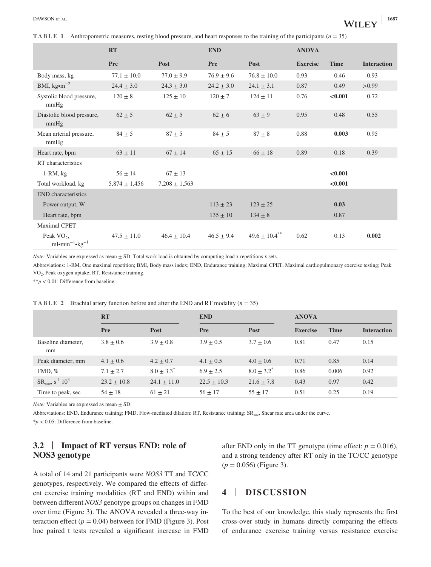**TABLE 1** Anthropometric measures, resting blood pressure, and heart responses to the training of the participants (*n* = 35)

|                                                      | <b>RT</b>         |                   | <b>END</b>     |                               | <b>ANOVA</b>    |             |                    |
|------------------------------------------------------|-------------------|-------------------|----------------|-------------------------------|-----------------|-------------|--------------------|
|                                                      | Pre               | Post              | <b>Pre</b>     | Post                          | <b>Exercise</b> | <b>Time</b> | <b>Interaction</b> |
| Body mass, kg                                        | $77.1 \pm 10.0$   | $77.0 \pm 9.9$    | $76.9 \pm 9.6$ | $76.8 \pm 10.0$               | 0.93            | 0.46        | 0.93               |
| BMI, $kg \cdot m^{-2}$                               | $24.4 \pm 3.0$    | $24.3 \pm 3.0$    | $24.2 \pm 3.0$ | $24.1 \pm 3.1$                | 0.87            | 0.49        | >0.99              |
| Systolic blood pressure,<br>mmHg                     | $120 \pm 8$       | $125 \pm 10$      | $120 \pm 7$    | $124 \pm 11$                  | 0.76            | < 0.001     | 0.72               |
| Diastolic blood pressure,<br>mmHg                    | $62 \pm 5$        | $62 \pm 5$        | $62 \pm 6$     | $63 \pm 9$                    | 0.95            | 0.48        | 0.55               |
| Mean arterial pressure,<br>mmHg                      | $84 \pm 5$        | $87 + 5$          | $84 \pm 5$     | $87 \pm 8$                    | 0.88            | 0.003       | 0.95               |
| Heart rate, bpm                                      | $63 \pm 11$       | $67 \pm 14$       | $65 \pm 15$    | $66 \pm 18$                   | 0.89            | 0.18        | 0.39               |
| RT characteristics                                   |                   |                   |                |                               |                 |             |                    |
| $1-RM$ , $kg$                                        | $56 \pm 14$       | $67 \pm 13$       |                |                               |                 | < 0.001     |                    |
| Total workload, kg                                   | $5,874 \pm 1,456$ | $7,208 \pm 1,563$ |                |                               |                 | < 0.001     |                    |
| <b>END</b> characteristics                           |                   |                   |                |                               |                 |             |                    |
| Power output, W                                      |                   |                   | $113 \pm 23$   | $123 \pm 25$                  |                 | 0.03        |                    |
| Heart rate, bpm                                      |                   |                   | $135 \pm 10$   | $134 \pm 8$                   |                 | 0.87        |                    |
| <b>Maximal CPET</b>                                  |                   |                   |                |                               |                 |             |                    |
| Peak $VO_2$ ,<br>$ml\bullet min^{-1}\bullet kg^{-1}$ | $47.5 \pm 11.0$   | $46.4 \pm 10.4$   | $46.5 \pm 9.4$ | $49.6 \pm 10.4$ <sup>**</sup> | 0.62            | 0.13        | 0.002              |

*Note:* Variables are expressed as mean  $\pm$  SD. Total work load is obtained by computing load x repetitions x sets.

Abbreviations: 1-RM, One maximal repetition; BMI, Body mass index; END, Endurance training; Maximal CPET, Maximal cardiopulmonary exercise testing; Peak VO2, Peak oxygen uptake; RT, Resistance training.

\*\**p* < 0.01: Difference from baseline.

|                                                     | <b>RT</b>       |                 | <b>END</b>      |                 | <b>ANOVA</b>    |             |                    |
|-----------------------------------------------------|-----------------|-----------------|-----------------|-----------------|-----------------|-------------|--------------------|
|                                                     | <b>Pre</b>      | Post            | <b>Pre</b>      | Post            | <b>Exercise</b> | <b>Time</b> | <b>Interaction</b> |
| Baseline diameter,<br>mm                            | $3.8 \pm 0.6$   | $3.9 \pm 0.8$   | $3.9 \pm 0.5$   | $3.7 \pm 0.6$   | 0.81            | 0.47        | 0.15               |
| Peak diameter, mm                                   | $4.1 \pm 0.6$   | $4.2 \pm 0.7$   | $4.1 \pm 0.5$   | $4.0 \pm 0.6$   | 0.71            | 0.85        | 0.14               |
| $FMD, \%$                                           | $7.1 + 2.7$     | $8.0 \pm 3.3^*$ | $6.9 + 2.5$     | $8.0 \pm 3.2^*$ | 0.86            | 0.006       | 0.92               |
| $SR_{\text{auc}}$ , s <sup>-1</sup> 10 <sup>3</sup> | $23.2 \pm 10.8$ | $24.1 \pm 11.0$ | $22.5 \pm 10.3$ | $21.6 \pm 7.8$  | 0.43            | 0.97        | 0.42               |
| Time to peak, sec                                   | $54 \pm 18$     | $61 \pm 21$     | $56 + 17$       | $55 \pm 17$     | 0.51            | 0.25        | 0.19               |

**TABLE 2** Brachial artery function before and after the END and RT modality (*n* = 35)

*Note:* Variables are expressed as mean  $\pm$  SD.

Abbreviations: END, Endurance training; FMD, Flow-mediated dilation; RT, Resistance training; SR<sub>auc</sub>, Shear rate area under the curve.

\**p* < 0.05: Difference from baseline.

# **3.2** | **Impact of RT versus END: role of NOS3 genotype**

A total of 14 and 21 participants were *NOS3* TT and TC/CC genotypes, respectively. We compared the effects of different exercise training modalities (RT and END) within and between different *NOS3* genotype groups on changes in FMD over time (Figure 3). The ANOVA revealed a three-way interaction effect  $(p = 0.04)$  between for FMD (Figure 3). Post hoc paired t tests revealed a significant increase in FMD after END only in the TT genotype (time effect:  $p = 0.016$ ), and a strong tendency after RT only in the TC/CC genotype (*p* = 0.056) (Figure 3).

## **4** | **DISCUSSION**

To the best of our knowledge, this study represents the first cross-over study in humans directly comparing the effects of endurance exercise training versus resistance exercise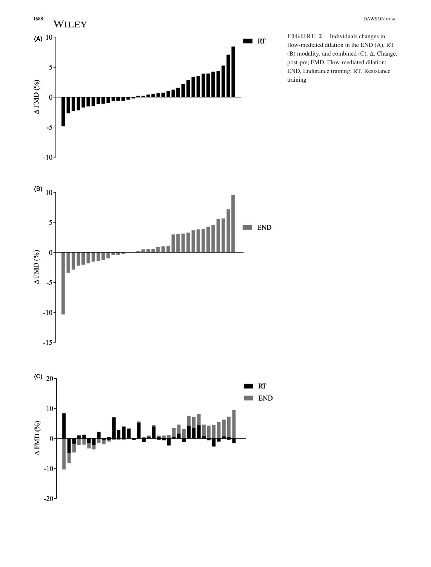

**FIGURE 2** Individuals changes in flow-mediated dilation in the END (A), RT (B) modality, and combined (C). Δ, Change, post-pre; FMD, Flow-mediated dilation; END, Endurance training; RT, Resistance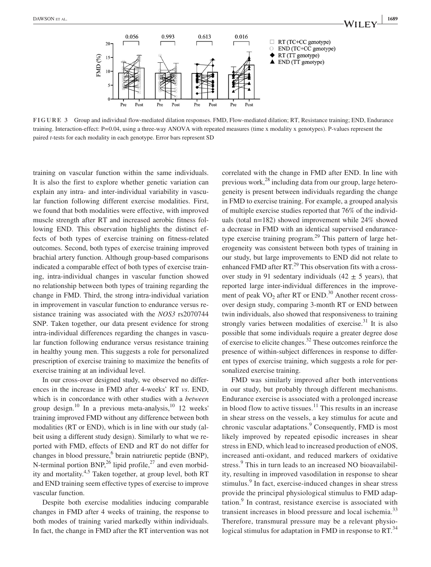

**FIGURE 3** Group and individual flow-mediated dilation responses. FMD, Flow-mediated dilation; RT, Resistance training; END, Endurance training. Interaction-effect: P=0.04, using a three-way ANOVA with repeated measures (time x modality x genotypes). P-values represent the paired *t*-tests for each modality in each genotype. Error bars represent SD

training on vascular function within the same individuals. It is also the first to explore whether genetic variation can explain any intra- and inter-individual variability in vascular function following different exercise modalities. First, we found that both modalities were effective, with improved muscle strength after RT and increased aerobic fitness following END. This observation highlights the distinct effects of both types of exercise training on fitness-related outcomes. Second, both types of exercise training improved brachial artery function. Although group-based comparisons indicated a comparable effect of both types of exercise training, intra-individual changes in vascular function showed no relationship between both types of training regarding the change in FMD. Third, the strong intra-individual variation in improvement in vascular function to endurance versus resistance training was associated with the *NOS3* rs2070744 SNP. Taken together, our data present evidence for strong intra-individual differences regarding the changes in vascular function following endurance versus resistance training in healthy young men. This suggests a role for personalized prescription of exercise training to maximize the benefits of exercise training at an individual level.

In our cross-over designed study, we observed no differences in the increase in FMD after 4-weeks' RT *vs*. END, which is in concordance with other studies with a *between* group design.<sup>10</sup> In a previous meta-analysis,  $\frac{10}{12}$  weeks' training improved FMD without any difference between both modalities (RT or END), which is in line with our study (albeit using a different study design). Similarly to what we reported with FMD, effects of END and RT do not differ for changes in blood pressure,<sup>6</sup> brain natriuretic peptide (BNP), N-terminal portion BNP,  $^{26}$  lipid profile,  $^{27}$  and even morbidity and mortality.<sup>4,5</sup> Taken together, at group level, both RT and END training seem effective types of exercise to improve vascular function.

Despite both exercise modalities inducing comparable changes in FMD after 4 weeks of training, the response to both modes of training varied markedly within individuals. In fact, the change in FMD after the RT intervention was not

correlated with the change in FMD after END. In line with previous work, $^{28}$  including data from our group, large heterogeneity is present between individuals regarding the change in FMD to exercise training. For example, a grouped analysis of multiple exercise studies reported that 76% of the individuals (total n=182) showed improvement while 24% showed a decrease in FMD with an identical supervised endurancetype exercise training program.<sup>29</sup> This pattern of large heterogeneity was consistent between both types of training in our study, but large improvements to END did not relate to enhanced FMD after  $RT^{29}$ . This observation fits with a crossover study in 91 sedentary individuals  $(42 \pm 5$  years), that reported large inter-individual differences in the improvement of peak  $VO<sub>2</sub>$  after RT or END.<sup>30</sup> Another recent crossover design study, comparing 3-month RT or END between twin individuals, also showed that responsiveness to training strongly varies between modalities of exercise.<sup>31</sup> It is also possible that some individuals require a greater degree dose of exercise to elicite changes.<sup>32</sup> These outcomes reinforce the presence of within-subject differences in response to different types of exercise training, which suggests a role for personalized exercise training.

FMD was similarly improved after both interventions in our study, but probably through different mechanisms. Endurance exercise is associated with a prolonged increase in blood flow to active tissues.<sup>11</sup> This results in an increase in shear stress on the vessels, a key stimulus for acute and chronic vascular adaptations.<sup>9</sup> Consequently, FMD is most likely improved by repeated episodic increases in shear stress in END, which lead to increased production of eNOS, increased anti-oxidant, and reduced markers of oxidative stress.<sup>9</sup> This in turn leads to an increased NO bioavailability, resulting in improved vasodilation in response to shear stimulus.<sup>9</sup> In fact, exercise-induced changes in shear stress provide the principal physiological stimulus to FMD adaptation.<sup>9</sup> In contrast, resistance exercise is associated with transient increases in blood pressure and local ischemia.<sup>33</sup> Therefore, transmural pressure may be a relevant physiological stimulus for adaptation in FMD in response to RT. $^{34}$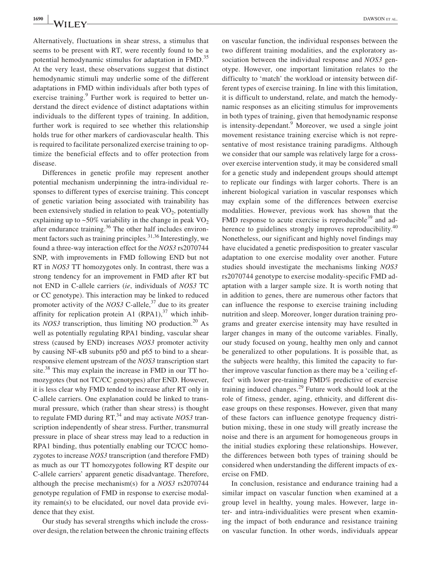Alternatively, fluctuations in shear stress, a stimulus that seems to be present with RT, were recently found to be a potential hemodynamic stimulus for adaptation in FMD.<sup>35</sup> At the very least, these observations suggest that distinct hemodynamic stimuli may underlie some of the different adaptations in FMD within individuals after both types of exercise training.<sup>9</sup> Further work is required to better understand the direct evidence of distinct adaptations within individuals to the different types of training. In addition, further work is required to see whether this relationship holds true for other markers of cardiovascular health. This is required to facilitate personalized exercise training to optimize the beneficial effects and to offer protection from disease.

Differences in genetic profile may represent another potential mechanism underpinning the intra-individual responses to different types of exercise training. This concept of genetic variation being associated with trainability has been extensively studied in relation to peak  $VO<sub>2</sub>$ , potentially explaining up to  $\sim 50\%$  variability in the change in peak VO<sub>2</sub> after endurance training. $36$  The other half includes environment factors such as training principles. $31,36$  Interestingly, we found a three-way interaction effect for the *NOS3* rs2070744 SNP, with improvements in FMD following END but not RT in *NOS3* TT homozygotes only. In contrast, there was a strong tendency for an improvement in FMD after RT but not END in C-allele carriers (*ie*, individuals of *NOS3* TC or CC genotype). This interaction may be linked to reduced promoter activity of the *NOS3* C-allele,<sup>37</sup> due to its greater affinity for replication protein A1  $(RPA1)$ , <sup>37</sup> which inhibits *NOS3* transcription, thus limiting NO production.<sup>20</sup> As well as potentially regulating RPA1 binding, vascular shear stress (caused by END) increases *NOS3* promoter activity by causing NF-κB subunits p50 and p65 to bind to a shearresponsive element upstream of the *NOS3* transcription start site.<sup>38</sup> This may explain the increase in FMD in our TT homozygotes (but not TC/CC genotypes) after END. However, it is less clear why FMD tended to increase after RT only in C-allele carriers. One explanation could be linked to transmural pressure, which (rather than shear stress) is thought to regulate FMD during RT,<sup>34</sup> and may activate *NOS3* transcription independently of shear stress. Further, transmurral pressure in place of shear stress may lead to a reduction in RPA1 binding, thus potentially enabling our TC/CC homozygotes to increase *NOS3* transcription (and therefore FMD) as much as our TT homozygotes following RT despite our C-allele carriers' apparent genetic disadvantage. Therefore, although the precise mechanism(s) for a *NOS3* rs2070744 genotype regulation of FMD in response to exercise modality remain(s) to be elucidated, our novel data provide evidence that they exist.

Our study has several strengths which include the crossover design, the relation between the chronic training effects

on vascular function, the individual responses between the two different training modalities, and the exploratory association between the individual response and *NOS3* genotype. However, one important limitation relates to the difficulty to 'match' the workload or intensity between different types of exercise training. In line with this limitation, it is difficult to understand, relate, and match the hemodynamic responses as an eliciting stimulus for improvements in both types of training, given that hemodynamic response is intensity-dependant.<sup>9</sup> Moreover, we used a single joint movement resistance training exercise which is not representative of most resistance training paradigms. Although we consider that our sample was relatively large for a crossover exercise intervention study, it may be considered small for a genetic study and independent groups should attempt to replicate our findings with larger cohorts. There is an inherent biological variation in vascular responses which may explain some of the differences between exercise modalities. However, previous work has shown that the FMD response to acute exercise is reproducible $39$  and adherence to guidelines strongly improves reproducibility.<sup>40</sup> Nonetheless, our significant and highly novel findings may have elucidated a genetic predisposition to greater vascular adaptation to one exercise modality over another. Future studies should investigate the mechanisms linking *NOS3* rs2070744 genotype to exercise modality-specific FMD adaptation with a larger sample size. It is worth noting that in addition to genes, there are numerous other factors that can influence the response to exercise training including nutrition and sleep. Moreover, longer duration training programs and greater exercise intensity may have resulted in larger changes in many of the outcome variables. Finally, our study focused on young, healthy men only and cannot be generalized to other populations. It is possible that, as the subjects were healthy, this limited the capacity to further improve vascular function as there may be a 'ceiling effect' with lower pre-training FMD% predictive of exercise training induced changes.29 Future work should look at the role of fitness, gender, aging, ethnicity, and different disease groups on these responses. However, given that many of these factors can influence genotype frequency distribution mixing, these in one study will greatly increase the noise and there is an argument for homogeneous groups in the initial studies exploring these relationships. However, the differences between both types of training should be considered when understanding the different impacts of exercise on FMD.

In conclusion, resistance and endurance training had a similar impact on vascular function when examined at a group level in healthy, young males. However, large inter- and intra-individualities were present when examining the impact of both endurance and resistance training on vascular function. In other words, individuals appear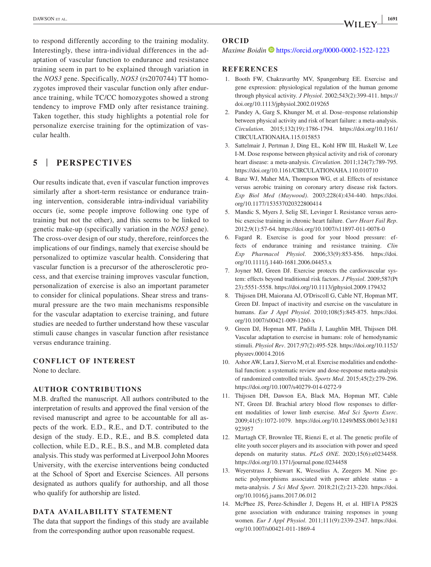to respond differently according to the training modality. Interestingly, these intra-individual differences in the adaptation of vascular function to endurance and resistance training seem in part to be explained through variation in the *NOS3* gene. Specifically, *NOS3* (rs2070744) TT homozygotes improved their vascular function only after endurance training, while TC/CC homozygotes showed a strong tendency to improve FMD only after resistance training. Taken together, this study highlights a potential role for personalize exercise training for the optimization of vascular health.

# **5** | **PERSPECTIVES**

Our results indicate that, even if vascular function improves similarly after a short-term resistance or endurance training intervention, considerable intra-individual variability occurs (ie, some people improve following one type of training but not the other), and this seems to be linked to genetic make-up (specifically variation in the *NOS3* gene). The cross-over design of our study, therefore, reinforces the implications of our findings, namely that exercise should be personalized to optimize vascular health. Considering that vascular function is a precursor of the atherosclerotic process, and that exercise training improves vascular function, personalization of exercise is also an important parameter to consider for clinical populations. Shear stress and transmural pressure are the two main mechanisms responsible for the vascular adaptation to exercise training, and future studies are needed to further understand how these vascular stimuli cause changes in vascular function after resistance versus endurance training.

#### **CONFLICT OF INTEREST**

None to declare.

#### **AUTHOR CONTRIBUTIONS**

M.B. drafted the manuscript. All authors contributed to the interpretation of results and approved the final version of the revised manuscript and agree to be accountable for all aspects of the work. E.D., R.E., and D.T. contributed to the design of the study. E.D., R.E., and B.S. completed data collection, while E.D., R.E., B.S., and M.B. completed data analysis. This study was performed at Liverpool John Moores University, with the exercise interventions being conducted at the School of Sport and Exercise Sciences. All persons designated as authors qualify for authorship, and all those who qualify for authorship are listed.

### **DATA AVAILABILITY STATEMENT**

The data that support the findings of this study are available from the corresponding author upon reasonable request.

#### **ORCID**

#### *Maxime Boidin*  $\bullet$  <https://orcid.org/0000-0002-1522-1223>

#### **REFERENCES**

- 1. Booth FW, Chakravarthy MV, Spangenburg EE. Exercise and gene expression: physiological regulation of the human genome through physical activity. *J Physiol*. 2002;543(2):399-411. [https://](https://doi.org/10.1113/jphysiol.2002.019265) [doi.org/10.1113/jphysiol.2002.019265](https://doi.org/10.1113/jphysiol.2002.019265)
- 2. Pandey A, Garg S, Khunger M, et al. Dose–response relationship between physical activity and risk of heart failure: a meta-analysis. *Circulation*. 2015;132(19):1786-1794. [https://doi.org/10.1161/](https://doi.org/10.1161/CIRCULATIONAHA.115.015853) [CIRCULATIONAHA.115.015853](https://doi.org/10.1161/CIRCULATIONAHA.115.015853)
- 3. Sattelmair J, Pertman J, Ding EL, Kohl HW III, Haskell W, Lee I-M. Dose response between physical activity and risk of coronary heart disease: a meta-analysis. *Circulation*. 2011;124(7):789-795. <https://doi.org/10.1161/CIRCULATIONAHA.110.010710>
- 4. Banz WJ, Maher MA, Thompson WG, et al. Effects of resistance versus aerobic training on coronary artery disease risk factors. *Exp Biol Med (Maywood)*. 2003;228(4):434-440. [https://doi.](https://doi.org/10.1177/153537020322800414) [org/10.1177/153537020322800414](https://doi.org/10.1177/153537020322800414)
- 5. Mandic S, Myers J, Selig SE, Levinger I. Resistance versus aerobic exercise training in chronic heart failure. *Curr Heart Fail Rep*. 2012;9(1):57-64. <https://doi.org/10.1007/s11897-011-0078-0>
- 6. Fagard R. Exercise is good for your blood pressure: effects of endurance training and resistance training. *Clin Exp Pharmacol Physiol*. 2006;33(9):853-856. [https://doi.](https://doi.org/10.1111/j.1440-1681.2006.04453.x) [org/10.1111/j.1440-1681.2006.04453.x](https://doi.org/10.1111/j.1440-1681.2006.04453.x)
- 7. Joyner MJ, Green DJ. Exercise protects the cardiovascular system: effects beyond traditional risk factors. *J Physiol*. 2009;587(Pt 23):5551-5558. <https://doi.org/10.1113/jphysiol.2009.179432>
- 8. Thijssen DH, Maiorana AJ, O'Driscoll G, Cable NT, Hopman MT, Green DJ. Impact of inactivity and exercise on the vasculature in humans. *Eur J Appl Physiol*. 2010;108(5):845-875. [https://doi.](https://doi.org/10.1007/s00421-009-1260-x) [org/10.1007/s00421-009-1260-x](https://doi.org/10.1007/s00421-009-1260-x)
- 9. Green DJ, Hopman MT, Padilla J, Laughlin MH, Thijssen DH. Vascular adaptation to exercise in humans: role of hemodynamic stimuli. *Physiol Rev*. 2017;97(2):495-528. [https://doi.org/10.1152/](https://doi.org/10.1152/physrev.00014.2016) [physrev.00014.2016](https://doi.org/10.1152/physrev.00014.2016)
- 10. Ashor AW, Lara J, Siervo M, et al. Exercise modalities and endothelial function: a systematic review and dose-response meta-analysis of randomized controlled trials. *Sports Med*. 2015;45(2):279-296. <https://doi.org/10.1007/s40279-014-0272-9>
- 11. Thijssen DH, Dawson EA, Black MA, Hopman MT, Cable NT, Green DJ. Brachial artery blood flow responses to different modalities of lower limb exercise. *Med Sci Sports Exerc*. 2009;41(5):1072-1079. [https://doi.org/10.1249/MSS.0b013e3181](https://doi.org/10.1249/MSS.0b013e3181923957) [923957](https://doi.org/10.1249/MSS.0b013e3181923957)
- 12. Murtagh CF, Brownlee TE, Rienzi E, et al. The genetic profile of elite youth soccer players and its association with power and speed depends on maturity status. *PLoS ONE*. 2020;15(6):e0234458. <https://doi.org/10.1371/journal.pone.0234458>
- 13. Weyerstrass J, Stewart K, Wesselius A, Zeegers M. Nine genetic polymorphisms associated with power athlete status - a meta-analysis. *J Sci Med Sport*. 2018;21(2):213-220. [https://doi.](https://doi.org/10.1016/j.jsams.2017.06.012) [org/10.1016/j.jsams.2017.06.012](https://doi.org/10.1016/j.jsams.2017.06.012)
- 14. McPhee JS, Perez-Schindler J, Degens H, et al. HIF1A P582S gene association with endurance training responses in young women. *Eur J Appl Physiol*. 2011;111(9):2339-2347. [https://doi.](https://doi.org/10.1007/s00421-011-1869-4) [org/10.1007/s00421-011-1869-4](https://doi.org/10.1007/s00421-011-1869-4)